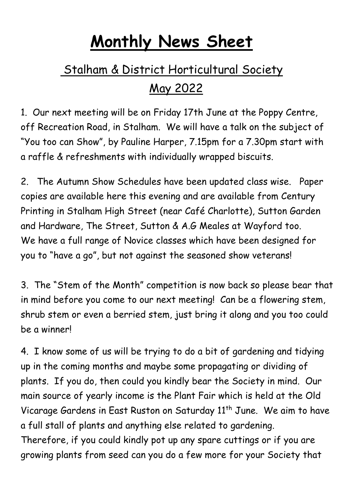## **Monthly News Sheet**

## Stalham & District Horticultural Society May 2022

1. Our next meeting will be on Friday 17th June at the Poppy Centre, off Recreation Road, in Stalham. We will have a talk on the subject of "You too can Show", by Pauline Harper, 7.15pm for a 7.30pm start with a raffle & refreshments with individually wrapped biscuits.

2. The Autumn Show Schedules have been updated class wise. Paper copies are available here this evening and are available from Century Printing in Stalham High Street (near Café Charlotte), Sutton Garden and Hardware, The Street, Sutton & A.G Meales at Wayford too. We have a full range of Novice classes which have been designed for you to "have a go", but not against the seasoned show veterans!

3. The "Stem of the Month" competition is now back so please bear that in mind before you come to our next meeting! Can be a flowering stem, shrub stem or even a berried stem, just bring it along and you too could be a winner!

4. I know some of us will be trying to do a bit of gardening and tidying up in the coming months and maybe some propagating or dividing of plants. If you do, then could you kindly bear the Society in mind. Our main source of yearly income is the Plant Fair which is held at the Old Vicarage Gardens in East Ruston on Saturday 11<sup>th</sup> June. We aim to have a full stall of plants and anything else related to gardening. Therefore, if you could kindly pot up any spare cuttings or if you are growing plants from seed can you do a few more for your Society that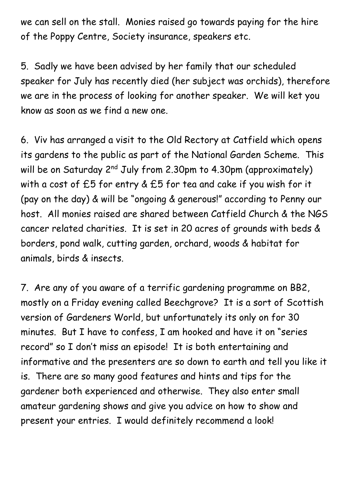we can sell on the stall. Monies raised go towards paying for the hire of the Poppy Centre, Society insurance, speakers etc.

5. Sadly we have been advised by her family that our scheduled speaker for July has recently died (her subject was orchids), therefore we are in the process of looking for another speaker. We will ket you know as soon as we find a new one.

6. Viv has arranged a visit to the Old Rectory at Catfield which opens its gardens to the public as part of the National Garden Scheme. This will be on Saturday 2<sup>nd</sup> July from 2.30pm to 4.30pm (approximately) with a cost of £5 for entry & £5 for tea and cake if you wish for it (pay on the day) & will be "ongoing & generous!" according to Penny our host. All monies raised are shared between Catfield Church & the NGS cancer related charities. It is set in 20 acres of grounds with beds & borders, pond walk, cutting garden, orchard, woods & habitat for animals, birds & insects.

7. Are any of you aware of a terrific gardening programme on BB2, mostly on a Friday evening called Beechgrove? It is a sort of Scottish version of Gardeners World, but unfortunately its only on for 30 minutes. But I have to confess, I am hooked and have it on "series record" so I don't miss an episode! It is both entertaining and informative and the presenters are so down to earth and tell you like it is. There are so many good features and hints and tips for the gardener both experienced and otherwise. They also enter small amateur gardening shows and give you advice on how to show and present your entries. I would definitely recommend a look!